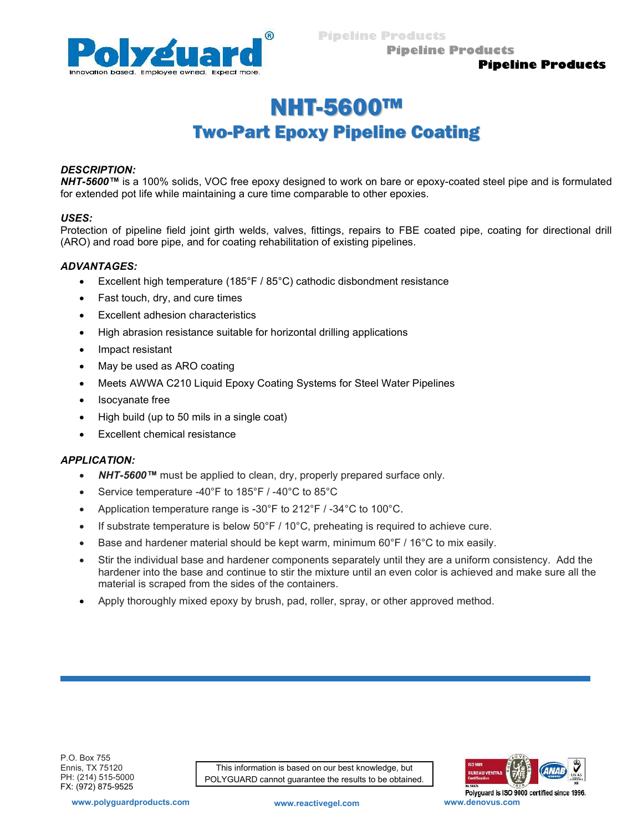

Pipeline Products

## Pipeline Products

# NHT-5600™ Two-Part Epoxy Pipeline Coating

#### DESCRIPTION:

NHT-5600™ is a 100% solids, VOC free epoxy designed to work on bare or epoxy-coated steel pipe and is formulated for extended pot life while maintaining a cure time comparable to other epoxies.

#### USES:

Protection of pipeline field joint girth welds, valves, fittings, repairs to FBE coated pipe, coating for directional drill (ARO) and road bore pipe, and for coating rehabilitation of existing pipelines.

## ADVANTAGES:

- Excellent high temperature (185°F / 85°C) cathodic disbondment resistance
- Fast touch, dry, and cure times
- Excellent adhesion characteristics
- High abrasion resistance suitable for horizontal drilling applications
- Impact resistant
- May be used as ARO coating
- Meets AWWA C210 Liquid Epoxy Coating Systems for Steel Water Pipelines
- Isocyanate free
- High build (up to 50 mils in a single coat)
- Excellent chemical resistance

## APPLICATION:

- NHT-5600™ must be applied to clean, dry, properly prepared surface only.
- Service temperature -40°F to 185°F / -40°C to 85°C
- Application temperature range is -30°F to 212°F / -34°C to 100°C.
- If substrate temperature is below  $50^{\circ}$ F /  $10^{\circ}$ C, preheating is required to achieve cure.
- Base and hardener material should be kept warm, minimum  $60^{\circ}F / 16^{\circ}C$  to mix easily.
- Stir the individual base and hardener components separately until they are a uniform consistency. Add the hardener into the base and continue to stir the mixture until an even color is achieved and make sure all the material is scraped from the sides of the containers.
- Apply thoroughly mixed epoxy by brush, pad, roller, spray, or other approved method.

This information is based on our best knowledge, but POLYGUARD cannot guarantee the results to be obtained.



www.polyguardproducts.com www.reactivegel.com www.denovus.com

Polyguard is ISO 9000 certified since 1996